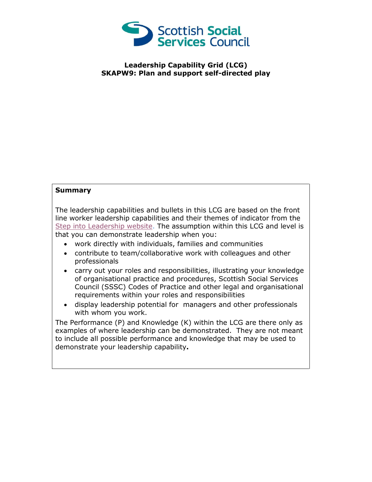

## **Leadership Capability Grid (LCG) SKAPW9: Plan and support self-directed play**

## **Summary**

The leadership capabilities and bullets in this LCG are based on the front line worker leadership capabilities and their themes of indicator from the [Step into Leadership website.](http://www.stepintoleadership.info/) The assumption within this LCG and level is that you can demonstrate leadership when you:

- work directly with individuals, families and communities
- contribute to team/collaborative work with colleagues and other professionals
- carry out your roles and responsibilities, illustrating your knowledge of organisational practice and procedures, Scottish Social Services Council (SSSC) Codes of Practice and other legal and organisational requirements within your roles and responsibilities
- display leadership potential for managers and other professionals with whom you work.

The Performance (P) and Knowledge (K) within the LCG are there only as examples of where leadership can be demonstrated. They are not meant to include all possible performance and knowledge that may be used to demonstrate your leadership capability**.**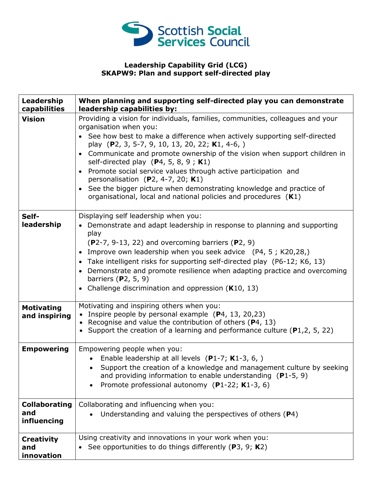

## **Leadership Capability Grid (LCG) SKAPW9: Plan and support self-directed play**

| Leadership<br>capabilities                 | When planning and supporting self-directed play you can demonstrate<br>leadership capabilities by:                                                                                                                                                                                                                                                                                                                                                                                                                                                                                                                                    |
|--------------------------------------------|---------------------------------------------------------------------------------------------------------------------------------------------------------------------------------------------------------------------------------------------------------------------------------------------------------------------------------------------------------------------------------------------------------------------------------------------------------------------------------------------------------------------------------------------------------------------------------------------------------------------------------------|
| <b>Vision</b>                              | Providing a vision for individuals, families, communities, colleagues and your<br>organisation when you:<br>• See how best to make a difference when actively supporting self-directed<br>play (P2, 3, 5-7, 9, 10, 13, 20, 22; K1, 4-6, )<br>• Communicate and promote ownership of the vision when support children in<br>self-directed play $(P4, 5, 8, 9; K1)$<br>• Promote social service values through active participation and<br>personalisation $(P2, 4-7, 20; K1)$<br>See the bigger picture when demonstrating knowledge and practice of<br>$\bullet$<br>organisational, local and national policies and procedures $(K1)$ |
| Self-<br>leadership                        | Displaying self leadership when you:<br>• Demonstrate and adapt leadership in response to planning and supporting<br>play<br>$(P2-7, 9-13, 22)$ and overcoming barriers $(P2, 9)$<br>• Improve own leadership when you seek advice (P4, 5; K20,28,)<br>• Take intelligent risks for supporting self-directed play (P6-12; K6, 13)<br>• Demonstrate and promote resilience when adapting practice and overcoming<br>barriers $(P2, 5, 9)$<br>• Challenge discrimination and oppression ( $K10, 13$ )                                                                                                                                   |
| <b>Motivating</b><br>and inspiring         | Motivating and inspiring others when you:<br>• Inspire people by personal example $(P4, 13, 20, 23)$<br>• Recognise and value the contribution of others ( $P4$ , 13)<br>• Support the creation of a learning and performance culture ( $P1,2,5,22$ )                                                                                                                                                                                                                                                                                                                                                                                 |
| <b>Empowering</b>                          | Empowering people when you:<br>Enable leadership at all levels (P1-7; K1-3, 6, )<br>Support the creation of a knowledge and management culture by seeking<br>and providing information to enable understanding $(P1-5, 9)$<br>Promote professional autonomy (P1-22; K1-3, 6)<br>$\bullet$                                                                                                                                                                                                                                                                                                                                             |
| <b>Collaborating</b><br>and<br>influencing | Collaborating and influencing when you:<br>Understanding and valuing the perspectives of others (P4)                                                                                                                                                                                                                                                                                                                                                                                                                                                                                                                                  |
| <b>Creativity</b><br>and<br>innovation     | Using creativity and innovations in your work when you:<br>• See opportunities to do things differently ( $P3$ , $9$ ; $K2$ )                                                                                                                                                                                                                                                                                                                                                                                                                                                                                                         |